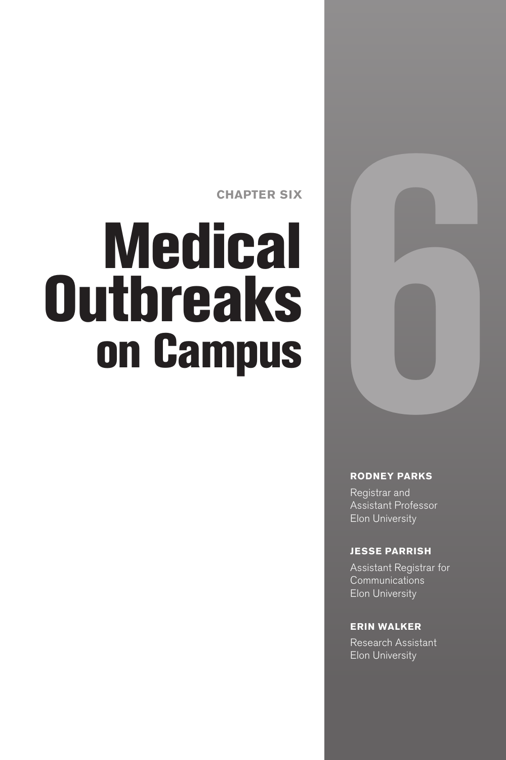**CHAPTER SIX**

# **Medical Outbreaks** on Campus



#### **RODNEY PARKS**

Registrar and Assistant Professor Elon University

#### **JESSE PARRISH**

Assistant Registrar for Communications Elon University

#### **ERIN WALKER**

Research Assistant Elon University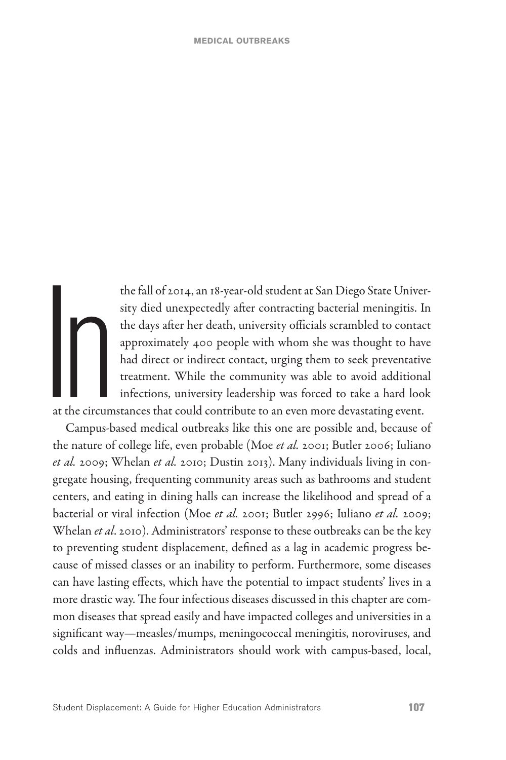the fall of 2014, an 18-year-old student at San Diego State Univer-<br>sity died unexpectedly after contracting bacterial meningitis. In<br>the days after her death, university officials scrambled to contact<br>approximately 400 pe sity died unexpectedly after contracting bacterial meningitis. In the days after her death, university officials scrambled to contact approximately 400 people with whom she was thought to have had direct or indirect contact, urging them to seek preventative treatment. While the community was able to avoid additional infections, university leadership was forced to take a hard look at the circumstances that could contribute to an even more devastating event.

Campus-based medical outbreaks like this one are possible and, because of the nature of college life, even probable (Moe *et al.* 2001; Butler 2006; Iuliano *et al.* 2009; Whelan *et al.* 2010; Dustin 2013). Many individuals living in congregate housing, frequenting community areas such as bathrooms and student centers, and eating in dining halls can increase the likelihood and spread of a bacterial or viral infection (Moe *et al.* 2001; Butler 2996; Iuliano *et al.* 2009; Whelan *et al*. 2010). Administrators' response to these outbreaks can be the key to preventing student displacement, defined as a lag in academic progress because of missed classes or an inability to perform. Furthermore, some diseases can have lasting effects, which have the potential to impact students' lives in a more drastic way. The four infectious diseases discussed in this chapter are common diseases that spread easily and have impacted colleges and universities in a significant way—measles/mumps, meningococcal meningitis, noroviruses, and colds and influenzas. Administrators should work with campus-based, local,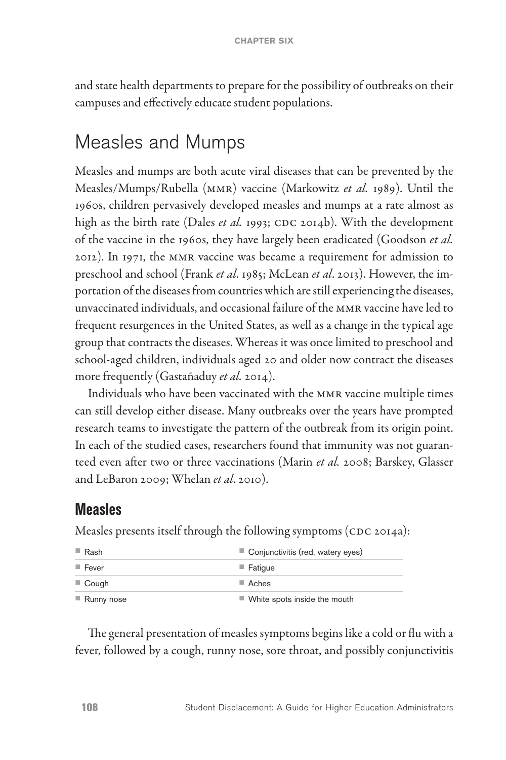and state health departments to prepare for the possibility of outbreaks on their campuses and effectively educate student populations.

# Measles and Mumps

Measles and mumps are both acute viral diseases that can be prevented by the Measles/Mumps/Rubella (MMR) vaccine (Markowitz *et al.* 1989). Until the 1960s, children pervasively developed measles and mumps at a rate almost as high as the birth rate (Dales *et al.* 1993; CDC 2014b). With the development of the vaccine in the 1960s, they have largely been eradicated (Goodson *et al.* 2012). In 1971, the MMR vaccine was became a requirement for admission to preschool and school (Frank *et al*. 1985; McLean *et al*. 2013). However, the importation of the diseases from countries which are still experiencing the diseases, unvaccinated individuals, and occasional failure of the MMR vaccine have led to frequent resurgences in the United States, as well as a change in the typical age group that contracts the diseases. Whereas it was once limited to preschool and school-aged children, individuals aged 20 and older now contract the diseases more frequently (Gastañaduy *et al.* 2014).

Individuals who have been vaccinated with the MMR vaccine multiple times can still develop either disease. Many outbreaks over the years have prompted research teams to investigate the pattern of the outbreak from its origin point. In each of the studied cases, researchers found that immunity was not guaranteed even after two or three vaccinations (Marin *et al.* 2008; Barskey, Glasser and LeBaron 2009; Whelan *et al*. 2010).

#### **Measles**

Measles presents itself through the following symptoms (CDC 2014a):

| Rash                 | Conjunctivitis (red, watery eyes)           |
|----------------------|---------------------------------------------|
| $\blacksquare$ Fever | $\blacksquare$ Fatique                      |
| $\Box$ Cough         | $\blacksquare$ Aches                        |
| Runny nose           | $\blacksquare$ White spots inside the mouth |

The general presentation of measles symptoms begins like a cold or flu with a fever, followed by a cough, runny nose, sore throat, and possibly conjunctivitis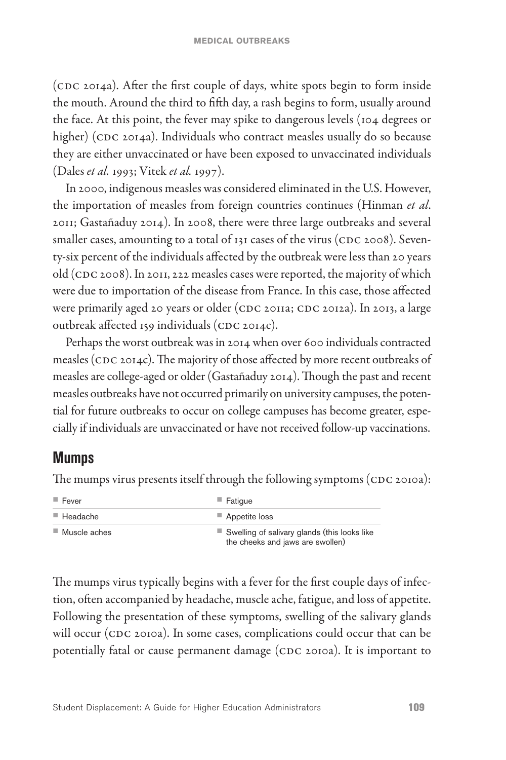(CDC 2014a). After the first couple of days, white spots begin to form inside the mouth. Around the third to fifth day, a rash begins to form, usually around the face. At this point, the fever may spike to dangerous levels (104 degrees or higher) (CDC 2014a). Individuals who contract measles usually do so because they are either unvaccinated or have been exposed to unvaccinated individuals (Dales *et al.* 1993; Vitek *et al.* 1997).

In 2000, indigenous measles was considered eliminated in the U.S. However, the importation of measles from foreign countries continues (Hinman *et al*. 2011; Gastañaduy 2014). In 2008, there were three large outbreaks and several smaller cases, amounting to a total of 131 cases of the virus (CDC 2008). Seventy-six percent of the individuals affected by the outbreak were less than 20 years old (CDC 2008). In 2011, 222 measles cases were reported, the majority of which were due to importation of the disease from France. In this case, those affected were primarily aged 20 years or older (CDC 2011a; CDC 2012a). In 2013, a large outbreak affected 159 individuals (CDC 2014c).

Perhaps the worst outbreak was in 2014 when over 600 individuals contracted measles (CDC 2014c). The majority of those affected by more recent outbreaks of measles are college-aged or older (Gastañaduy 2014). Though the past and recent measles outbreaks have not occurred primarily on university campuses, the potential for future outbreaks to occur on college campuses has become greater, especially if individuals are unvaccinated or have not received follow-up vaccinations.

#### **Mumps**

The mumps virus presents itself through the following symptoms (CDC 2010a):

| $\blacksquare$ Fever        | $\blacksquare$ Fatique                                                                          |
|-----------------------------|-------------------------------------------------------------------------------------------------|
| $\blacksquare$ Headache     | Appetite loss                                                                                   |
| $\blacksquare$ Muscle aches | $\blacksquare$ Swelling of salivary glands (this looks like<br>the cheeks and jaws are swollen) |

The mumps virus typically begins with a fever for the first couple days of infection, often accompanied by headache, muscle ache, fatigue, and loss of appetite. Following the presentation of these symptoms, swelling of the salivary glands will occur (CDC 2010a). In some cases, complications could occur that can be potentially fatal or cause permanent damage (CDC 2010a). It is important to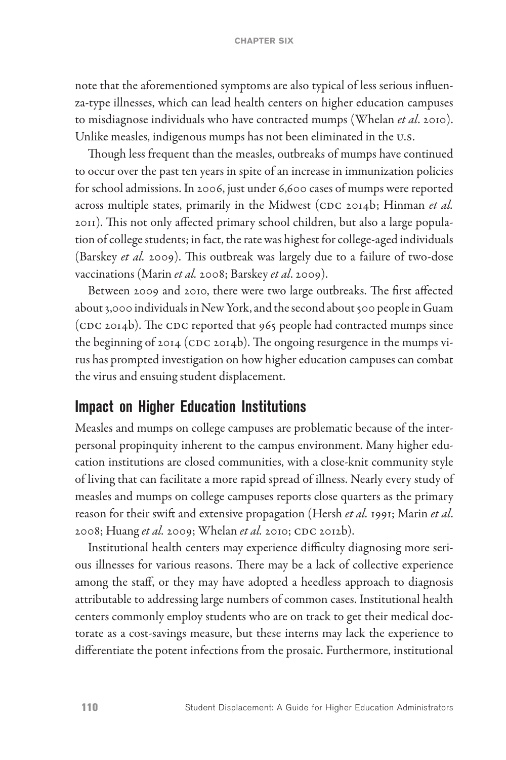note that the aforementioned symptoms are also typical of less serious influenza-type illnesses, which can lead health centers on higher education campuses to misdiagnose individuals who have contracted mumps (Whelan *et al*. 2010). Unlike measles, indigenous mumps has not been eliminated in the U.S.

Though less frequent than the measles, outbreaks of mumps have continued to occur over the past ten years in spite of an increase in immunization policies for school admissions. In 2006, just under 6,600 cases of mumps were reported across multiple states, primarily in the Midwest (CDC 2014b; Hinman *et al.* 2011). This not only affected primary school children, but also a large population of college students; in fact, the rate was highest for college-aged individuals (Barskey *et al.* 2009). This outbreak was largely due to a failure of two-dose vaccinations (Marin *et al.* 2008; Barskey *et al*. 2009).

Between 2009 and 2010, there were two large outbreaks. The first affected about 3,000 individuals in New York, and the second about 500 people in Guam (CDC 2014b). The CDC reported that 965 people had contracted mumps since the beginning of 2014 (CDC 2014b). The ongoing resurgence in the mumps virus has prompted investigation on how higher education campuses can combat the virus and ensuing student displacement.

#### **Impact on Higher Education Institutions**

Measles and mumps on college campuses are problematic because of the interpersonal propinquity inherent to the campus environment. Many higher education institutions are closed communities, with a close-knit community style of living that can facilitate a more rapid spread of illness. Nearly every study of measles and mumps on college campuses reports close quarters as the primary reason for their swift and extensive propagation (Hersh *et al.* 1991; Marin *et al*. 2008; Huang *et al.* 2009; Whelan *et al.* 2010; CDC 2012b).

Institutional health centers may experience difficulty diagnosing more serious illnesses for various reasons. There may be a lack of collective experience among the staff, or they may have adopted a heedless approach to diagnosis attributable to addressing large numbers of common cases. Institutional health centers commonly employ students who are on track to get their medical doctorate as a cost-savings measure, but these interns may lack the experience to differentiate the potent infections from the prosaic. Furthermore, institutional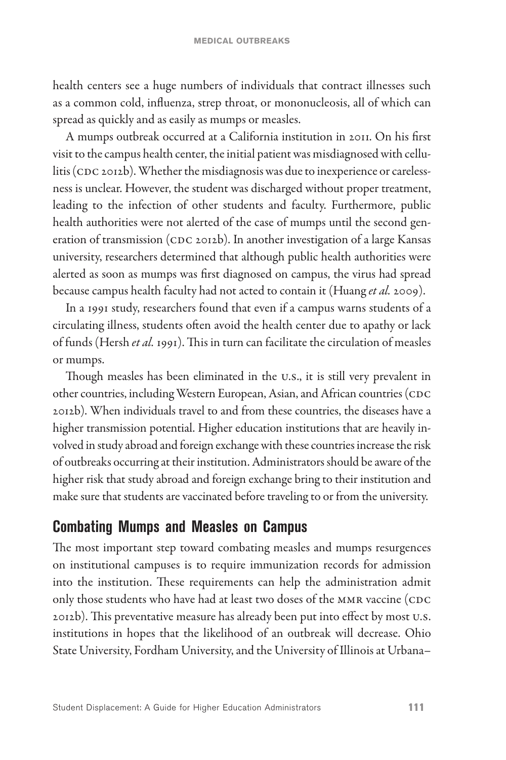health centers see a huge numbers of individuals that contract illnesses such as a common cold, influenza, strep throat, or mononucleosis, all of which can spread as quickly and as easily as mumps or measles.

A mumps outbreak occurred at a California institution in 2011. On his first visit to the campus health center, the initial patient was misdiagnosed with cellulitis (CDC 2012b). Whether the misdiagnosis was due to inexperience or carelessness is unclear. However, the student was discharged without proper treatment, leading to the infection of other students and faculty. Furthermore, public health authorities were not alerted of the case of mumps until the second generation of transmission (CDC 2012b). In another investigation of a large Kansas university, researchers determined that although public health authorities were alerted as soon as mumps was first diagnosed on campus, the virus had spread because campus health faculty had not acted to contain it (Huang *et al.* 2009).

In a 1991 study, researchers found that even if a campus warns students of a circulating illness, students often avoid the health center due to apathy or lack of funds (Hersh *et al.* 1991). This in turn can facilitate the circulation of measles or mumps.

Though measles has been eliminated in the U.S., it is still very prevalent in other countries, including Western European, Asian, and African countries (CDC 2012b). When individuals travel to and from these countries, the diseases have a higher transmission potential. Higher education institutions that are heavily involved in study abroad and foreign exchange with these countries increase the risk of outbreaks occurring at their institution. Administrators should be aware of the higher risk that study abroad and foreign exchange bring to their institution and make sure that students are vaccinated before traveling to or from the university.

#### **Combating Mumps and Measles on Campus**

The most important step toward combating measles and mumps resurgences on institutional campuses is to require immunization records for admission into the institution. These requirements can help the administration admit only those students who have had at least two doses of the MMR vaccine (CDC 2012b). This preventative measure has already been put into effect by most U.S. institutions in hopes that the likelihood of an outbreak will decrease. Ohio State University, Fordham University, and the University of Illinois at Urbana–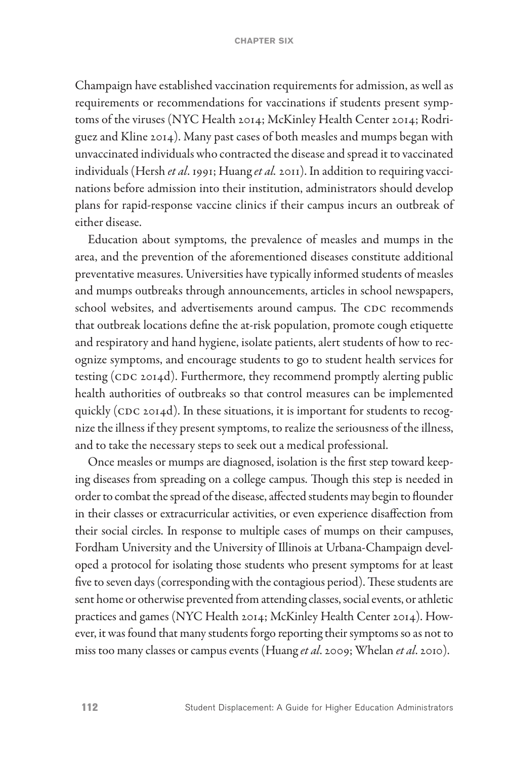Champaign have established vaccination requirements for admission, as well as requirements or recommendations for vaccinations if students present symptoms of the viruses (NYC Health 2014; McKinley Health Center 2014; Rodriguez and Kline 2014). Many past cases of both measles and mumps began with unvaccinated individuals who contracted the disease and spread it to vaccinated individuals (Hersh *et al*. 1991; Huang *et al.* 2011). In addition to requiring vaccinations before admission into their institution, administrators should develop plans for rapid-response vaccine clinics if their campus incurs an outbreak of either disease.

Education about symptoms, the prevalence of measles and mumps in the area, and the prevention of the aforementioned diseases constitute additional preventative measures. Universities have typically informed students of measles and mumps outbreaks through announcements, articles in school newspapers, school websites, and advertisements around campus. The CDC recommends that outbreak locations define the at-risk population, promote cough etiquette and respiratory and hand hygiene, isolate patients, alert students of how to recognize symptoms, and encourage students to go to student health services for testing (CDC 2014d). Furthermore, they recommend promptly alerting public health authorities of outbreaks so that control measures can be implemented quickly (CDC 2014d). In these situations, it is important for students to recognize the illness if they present symptoms, to realize the seriousness of the illness, and to take the necessary steps to seek out a medical professional.

Once measles or mumps are diagnosed, isolation is the first step toward keeping diseases from spreading on a college campus. Though this step is needed in order to combat the spread of the disease, affected students may begin to flounder in their classes or extracurricular activities, or even experience disaffection from their social circles. In response to multiple cases of mumps on their campuses, Fordham University and the University of Illinois at Urbana-Champaign developed a protocol for isolating those students who present symptoms for at least five to seven days (corresponding with the contagious period). These students are sent home or otherwise prevented from attending classes, social events, or athletic practices and games (NYC Health 2014; McKinley Health Center 2014). However, it was found that many students forgo reporting their symptoms so as not to miss too many classes or campus events (Huang *et al*. 2009; Whelan *et al*. 2010).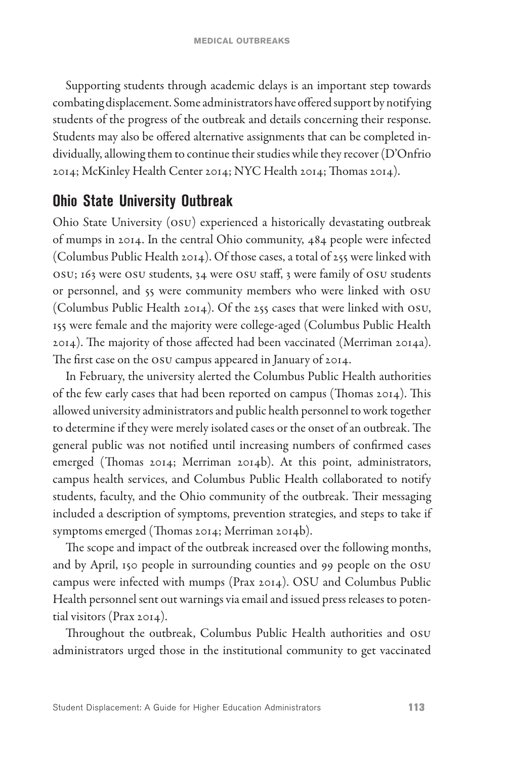Supporting students through academic delays is an important step towards combating displacement. Some administrators have offered support by notifying students of the progress of the outbreak and details concerning their response. Students may also be offered alternative assignments that can be completed individually, allowing them to continue their studies while they recover (D'Onfrio 2014; McKinley Health Center 2014; NYC Health 2014; Thomas 2014).

## **Ohio State University Outbreak**

Ohio State University (OSU) experienced a historically devastating outbreak of mumps in 2014. In the central Ohio community, 484 people were infected (Columbus Public Health 2014). Of those cases, a total of 255 were linked with OSU; 163 were OSU students, 34 were OSU staff, 3 were family of OSU students or personnel, and 55 were community members who were linked with OSU (Columbus Public Health 2014). Of the 255 cases that were linked with OSU, 155 were female and the majority were college-aged (Columbus Public Health 2014). The majority of those affected had been vaccinated (Merriman 2014a). The first case on the OSU campus appeared in January of 2014.

In February, the university alerted the Columbus Public Health authorities of the few early cases that had been reported on campus (Thomas 2014). This allowed university administrators and public health personnel to work together to determine if they were merely isolated cases or the onset of an outbreak. The general public was not notified until increasing numbers of confirmed cases emerged (Thomas 2014; Merriman 2014b). At this point, administrators, campus health services, and Columbus Public Health collaborated to notify students, faculty, and the Ohio community of the outbreak. Their messaging included a description of symptoms, prevention strategies, and steps to take if symptoms emerged (Thomas 2014; Merriman 2014b).

The scope and impact of the outbreak increased over the following months, and by April, 150 people in surrounding counties and 99 people on the OSU campus were infected with mumps (Prax 2014). OSU and Columbus Public Health personnel sent out warnings via email and issued press releases to potential visitors (Prax 2014).

Throughout the outbreak, Columbus Public Health authorities and OSU administrators urged those in the institutional community to get vaccinated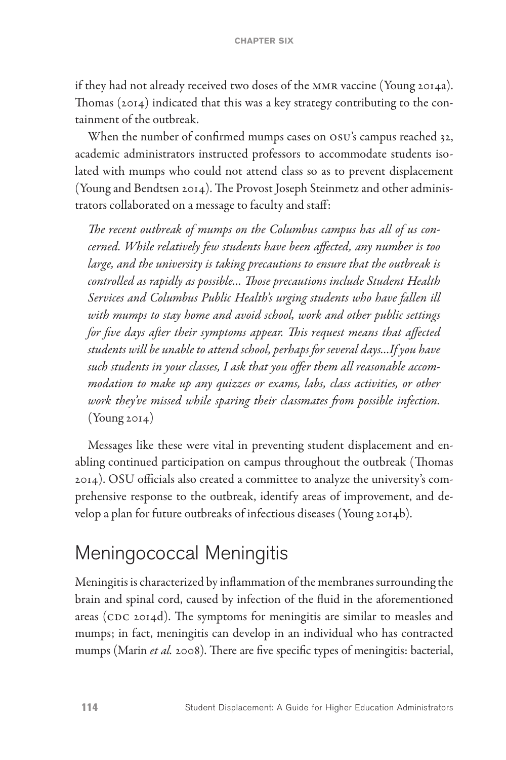if they had not already received two doses of the MMR vaccine (Young 2014a). Thomas (2014) indicated that this was a key strategy contributing to the containment of the outbreak.

When the number of confirmed mumps cases on OSU's campus reached 32, academic administrators instructed professors to accommodate students isolated with mumps who could not attend class so as to prevent displacement (Young and Bendtsen 2014). The Provost Joseph Steinmetz and other administrators collaborated on a message to faculty and staff:

*The recent outbreak of mumps on the Columbus campus has all of us concerned. While relatively few students have been affected, any number is too large, and the university is taking precautions to ensure that the outbreak is controlled as rapidly as possible… Those precautions include Student Health Services and Columbus Public Health's urging students who have fallen ill with mumps to stay home and avoid school, work and other public settings for five days after their symptoms appear. This request means that affected students will be unable to attend school, perhaps for several days…If you have such students in your classes, I ask that you offer them all reasonable accommodation to make up any quizzes or exams, labs, class activities, or other work they've missed while sparing their classmates from possible infection.*   $(Young 2014)$ 

Messages like these were vital in preventing student displacement and enabling continued participation on campus throughout the outbreak (Thomas 2014). OSU officials also created a committee to analyze the university's comprehensive response to the outbreak, identify areas of improvement, and develop a plan for future outbreaks of infectious diseases (Young 2014b).

# Meningococcal Meningitis

Meningitis is characterized by inflammation of the membranes surrounding the brain and spinal cord, caused by infection of the fluid in the aforementioned areas (CDC 2014d). The symptoms for meningitis are similar to measles and mumps; in fact, meningitis can develop in an individual who has contracted mumps (Marin *et al.* 2008). There are five specific types of meningitis: bacterial,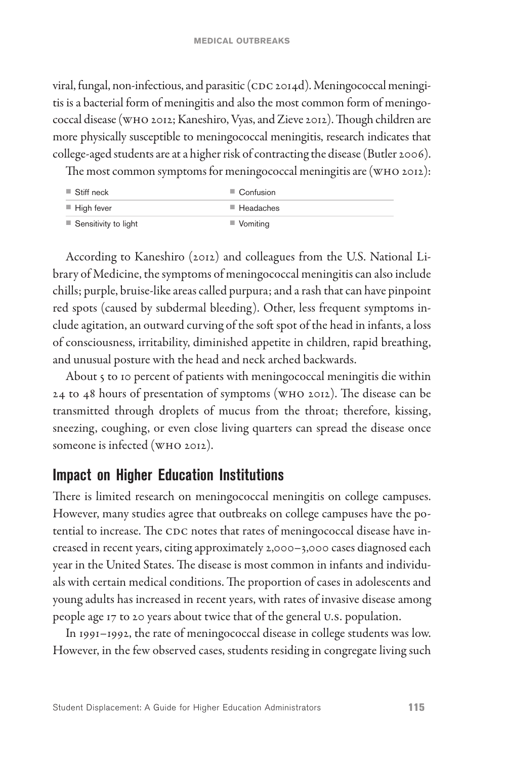viral, fungal, non-infectious, and parasitic (CDC 2014d). Meningococcal meningitis is a bacterial form of meningitis and also the most common form of meningococcal disease (WHO 2012; Kaneshiro, Vyas, and Zieve 2012). Though children are more physically susceptible to meningococcal meningitis, research indicates that college-aged students are at a higher risk of contracting the disease (Butler 2006).

The most common symptoms for meningococcal meningitis are (WHO 2012):

| $\blacksquare$ Stiff neck           | $\Box$ Confusion         |
|-------------------------------------|--------------------------|
| $\blacksquare$ High fever           | $\blacksquare$ Headaches |
| $\blacksquare$ Sensitivity to light | $\blacksquare$ Vomiting  |

According to Kaneshiro (2012) and colleagues from the U.S. National Library of Medicine, the symptoms of meningococcal meningitis can also include chills; purple, bruise-like areas called purpura; and a rash that can have pinpoint red spots (caused by subdermal bleeding). Other, less frequent symptoms include agitation, an outward curving of the soft spot of the head in infants, a loss of consciousness, irritability, diminished appetite in children, rapid breathing, and unusual posture with the head and neck arched backwards.

About 5 to 10 percent of patients with meningococcal meningitis die within 24 to 48 hours of presentation of symptoms (WHO 2012). The disease can be transmitted through droplets of mucus from the throat; therefore, kissing, sneezing, coughing, or even close living quarters can spread the disease once someone is infected (WHO 2012).

## **Impact on Higher Education Institutions**

There is limited research on meningococcal meningitis on college campuses. However, many studies agree that outbreaks on college campuses have the potential to increase. The CDC notes that rates of meningococcal disease have increased in recent years, citing approximately 2,000–3,000 cases diagnosed each year in the United States. The disease is most common in infants and individuals with certain medical conditions. The proportion of cases in adolescents and young adults has increased in recent years, with rates of invasive disease among people age 17 to 20 years about twice that of the general U.S. population.

In 1991–1992, the rate of meningococcal disease in college students was low. However, in the few observed cases, students residing in congregate living such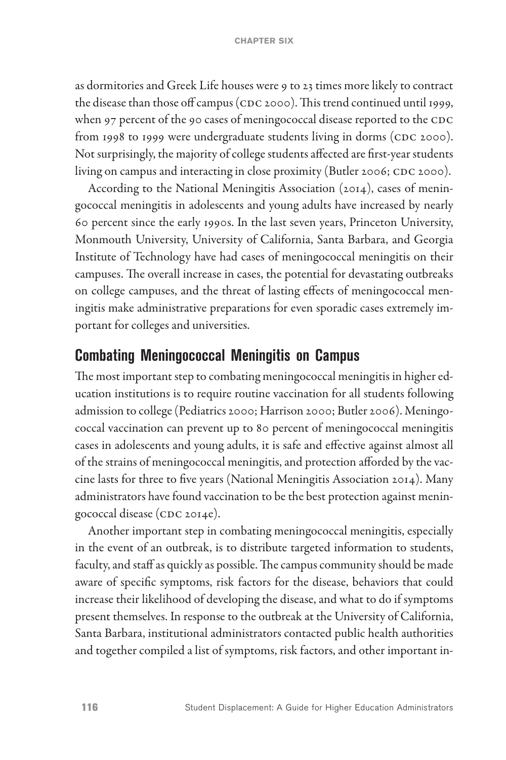as dormitories and Greek Life houses were 9 to 23 times more likely to contract the disease than those off campus (CDC 2000). This trend continued until 1999, when 97 percent of the 90 cases of meningococcal disease reported to the CDC from 1998 to 1999 were undergraduate students living in dorms (CDC 2000). Not surprisingly, the majority of college students affected are first-year students living on campus and interacting in close proximity (Butler 2006; CDC 2000).

According to the National Meningitis Association (2014), cases of meningococcal meningitis in adolescents and young adults have increased by nearly 60 percent since the early 1990s. In the last seven years, Princeton University, Monmouth University, University of California, Santa Barbara, and Georgia Institute of Technology have had cases of meningococcal meningitis on their campuses. The overall increase in cases, the potential for devastating outbreaks on college campuses, and the threat of lasting effects of meningococcal meningitis make administrative preparations for even sporadic cases extremely important for colleges and universities.

#### **Combating Meningococcal Meningitis on Campus**

The most important step to combating meningococcal meningitis in higher education institutions is to require routine vaccination for all students following admission to college (Pediatrics 2000; Harrison 2000; Butler 2006). Meningococcal vaccination can prevent up to 80 percent of meningococcal meningitis cases in adolescents and young adults, it is safe and effective against almost all of the strains of meningococcal meningitis, and protection afforded by the vaccine lasts for three to five years (National Meningitis Association 2014). Many administrators have found vaccination to be the best protection against meningococcal disease (CDC 2014e).

Another important step in combating meningococcal meningitis, especially in the event of an outbreak, is to distribute targeted information to students, faculty, and staff as quickly as possible. The campus community should be made aware of specific symptoms, risk factors for the disease, behaviors that could increase their likelihood of developing the disease, and what to do if symptoms present themselves. In response to the outbreak at the University of California, Santa Barbara, institutional administrators contacted public health authorities and together compiled a list of symptoms, risk factors, and other important in-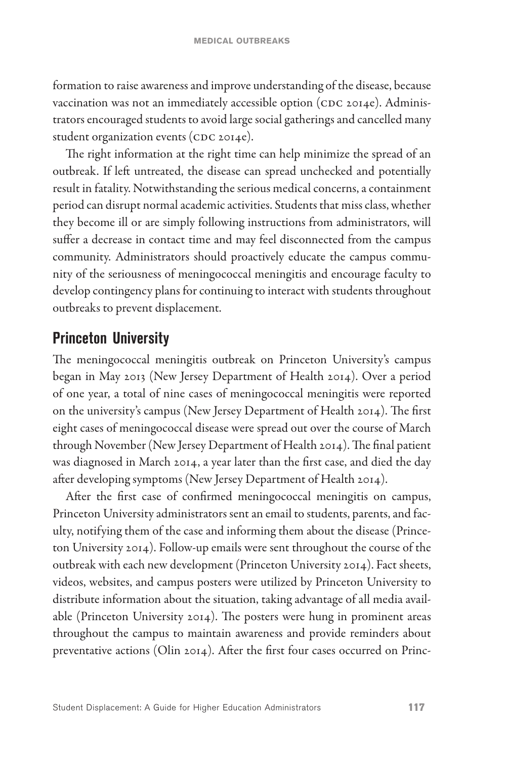formation to raise awareness and improve understanding of the disease, because vaccination was not an immediately accessible option (CDC 2014e). Administrators encouraged students to avoid large social gatherings and cancelled many student organization events (CDC 2014e).

The right information at the right time can help minimize the spread of an outbreak. If left untreated, the disease can spread unchecked and potentially result in fatality. Notwithstanding the serious medical concerns, a containment period can disrupt normal academic activities. Students that miss class, whether they become ill or are simply following instructions from administrators, will suffer a decrease in contact time and may feel disconnected from the campus community. Administrators should proactively educate the campus community of the seriousness of meningococcal meningitis and encourage faculty to develop contingency plans for continuing to interact with students throughout outbreaks to prevent displacement.

#### **Princeton University**

The meningococcal meningitis outbreak on Princeton University's campus began in May 2013 (New Jersey Department of Health 2014). Over a period of one year, a total of nine cases of meningococcal meningitis were reported on the university's campus (New Jersey Department of Health 2014). The first eight cases of meningococcal disease were spread out over the course of March through November (New Jersey Department of Health 2014). The final patient was diagnosed in March 2014, a year later than the first case, and died the day after developing symptoms (New Jersey Department of Health 2014).

After the first case of confirmed meningococcal meningitis on campus, Princeton University administrators sent an email to students, parents, and faculty, notifying them of the case and informing them about the disease (Princeton University 2014). Follow-up emails were sent throughout the course of the outbreak with each new development (Princeton University 2014). Fact sheets, videos, websites, and campus posters were utilized by Princeton University to distribute information about the situation, taking advantage of all media available (Princeton University 2014). The posters were hung in prominent areas throughout the campus to maintain awareness and provide reminders about preventative actions (Olin 2014). After the first four cases occurred on Princ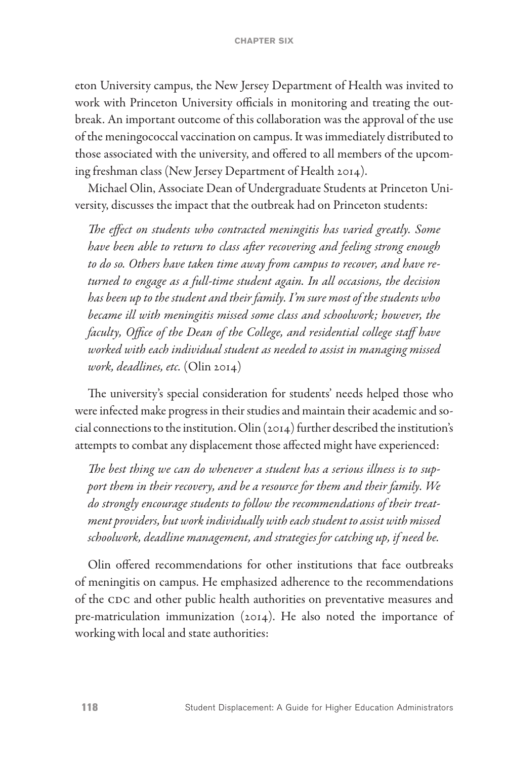eton University campus, the New Jersey Department of Health was invited to work with Princeton University officials in monitoring and treating the outbreak. An important outcome of this collaboration was the approval of the use of the meningococcal vaccination on campus. It was immediately distributed to those associated with the university, and offered to all members of the upcoming freshman class (New Jersey Department of Health 2014).

Michael Olin, Associate Dean of Undergraduate Students at Princeton University, discusses the impact that the outbreak had on Princeton students:

*The effect on students who contracted meningitis has varied greatly. Some have been able to return to class after recovering and feeling strong enough to do so. Others have taken time away from campus to recover, and have returned to engage as a full-time student again. In all occasions, the decision has been up to the student and their family. I'm sure most of the students who became ill with meningitis missed some class and schoolwork; however, the faculty, Office of the Dean of the College, and residential college staff have worked with each individual student as needed to assist in managing missed work, deadlines, etc.* (Olin 2014)

The university's special consideration for students' needs helped those who were infected make progress in their studies and maintain their academic and social connections to the institution. Olin (2014) further described the institution's attempts to combat any displacement those affected might have experienced:

*The best thing we can do whenever a student has a serious illness is to support them in their recovery, and be a resource for them and their family. We do strongly encourage students to follow the recommendations of their treatment providers, but work individually with each student to assist with missed schoolwork, deadline management, and strategies for catching up, if need be.*

Olin offered recommendations for other institutions that face outbreaks of meningitis on campus. He emphasized adherence to the recommendations of the CDC and other public health authorities on preventative measures and pre-matriculation immunization (2014). He also noted the importance of working with local and state authorities: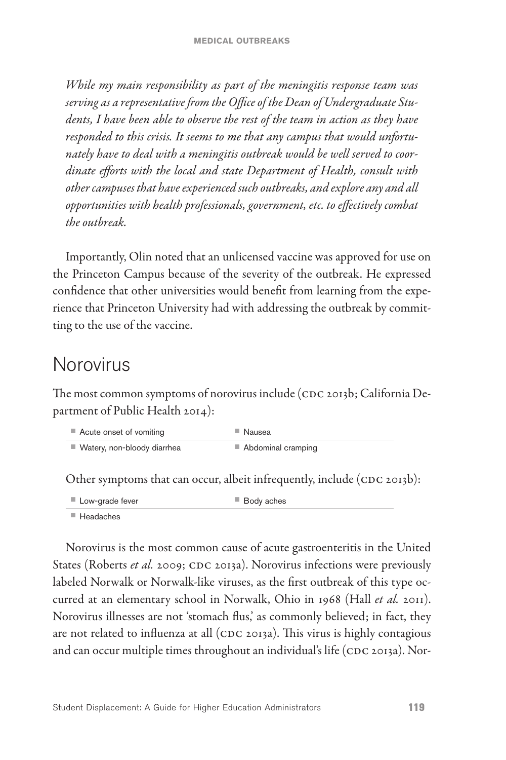*While my main responsibility as part of the meningitis response team was serving as a representative from the Office of the Dean of Undergraduate Students, I have been able to observe the rest of the team in action as they have responded to this crisis. It seems to me that any campus that would unfortunately have to deal with a meningitis outbreak would be well served to coordinate efforts with the local and state Department of Health, consult with other campuses that have experienced such outbreaks, and explore any and all opportunities with health professionals, government, etc. to effectively combat the outbreak.*

Importantly, Olin noted that an unlicensed vaccine was approved for use on the Princeton Campus because of the severity of the outbreak. He expressed confidence that other universities would benefit from learning from the experience that Princeton University had with addressing the outbreak by committing to the use of the vaccine.

# Norovirus

The most common symptoms of norovirus include (CDC 2013b; California Department of Public Health 2014):

| ■ Acute onset of vomiting     | ■ Nausea           |
|-------------------------------|--------------------|
| ■ Watery, non-bloody diarrhea | Abdominal cramping |

Other symptoms that can occur, albeit infrequently, include (CDC 2013b):

■ Low-grade fever ■ Body aches

■ Headaches

Norovirus is the most common cause of acute gastroenteritis in the United States (Roberts *et al.* 2009; CDC 2013a). Norovirus infections were previously labeled Norwalk or Norwalk-like viruses, as the first outbreak of this type occurred at an elementary school in Norwalk, Ohio in 1968 (Hall *et al.* 2011). Norovirus illnesses are not 'stomach flus,' as commonly believed; in fact, they are not related to influenza at all (CDC 2013a). This virus is highly contagious and can occur multiple times throughout an individual's life (CDC 2013a). Nor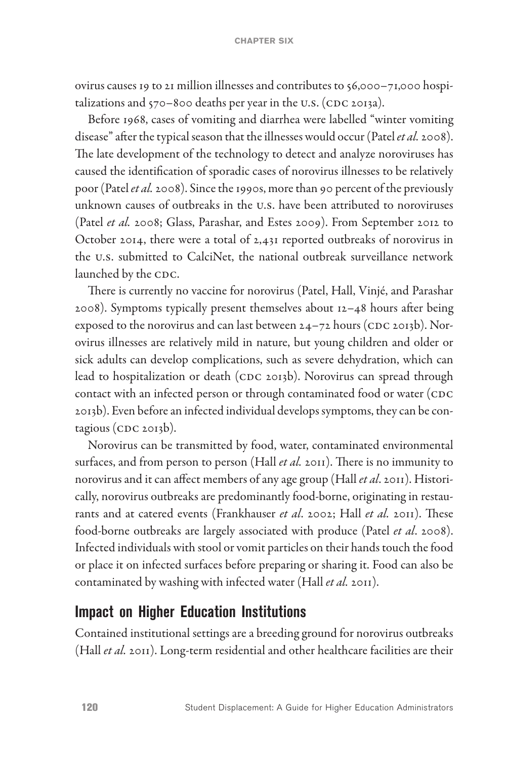ovirus causes 19 to 21 million illnesses and contributes to 56,000–71,000 hospitalizations and 570–800 deaths per year in the U.S. (CDC 2013a).

Before 1968, cases of vomiting and diarrhea were labelled "winter vomiting disease" after the typical season that the illnesses would occur (Patel *et al.* 2008). The late development of the technology to detect and analyze noroviruses has caused the identification of sporadic cases of norovirus illnesses to be relatively poor (Patel *et al.* 2008). Since the 1990s, more than 90 percent of the previously unknown causes of outbreaks in the U.S. have been attributed to noroviruses (Patel *et al.* 2008; Glass, Parashar, and Estes 2009). From September 2012 to October 2014, there were a total of 2,431 reported outbreaks of norovirus in the U.S. submitted to CalciNet, the national outbreak surveillance network launched by the CDC.

There is currently no vaccine for norovirus (Patel, Hall, Vinjé, and Parashar 2008). Symptoms typically present themselves about 12–48 hours after being exposed to the norovirus and can last between  $24-72$  hours (CDC 2013b). Norovirus illnesses are relatively mild in nature, but young children and older or sick adults can develop complications, such as severe dehydration, which can lead to hospitalization or death (CDC 2013b). Norovirus can spread through contact with an infected person or through contaminated food or water (CDC 2013b). Even before an infected individual develops symptoms, they can be contagious (CDC 2013b).

Norovirus can be transmitted by food, water, contaminated environmental surfaces, and from person to person (Hall *et al.* 2011). There is no immunity to norovirus and it can affect members of any age group (Hall *et al*. 2011). Historically, norovirus outbreaks are predominantly food-borne, originating in restaurants and at catered events (Frankhauser *et al*. 2002; Hall *et al.* 2011). These food-borne outbreaks are largely associated with produce (Patel *et al*. 2008). Infected individuals with stool or vomit particles on their hands touch the food or place it on infected surfaces before preparing or sharing it. Food can also be contaminated by washing with infected water (Hall *et al.* 2011).

#### **Impact on Higher Education Institutions**

Contained institutional settings are a breeding ground for norovirus outbreaks (Hall *et al.* 2011). Long-term residential and other healthcare facilities are their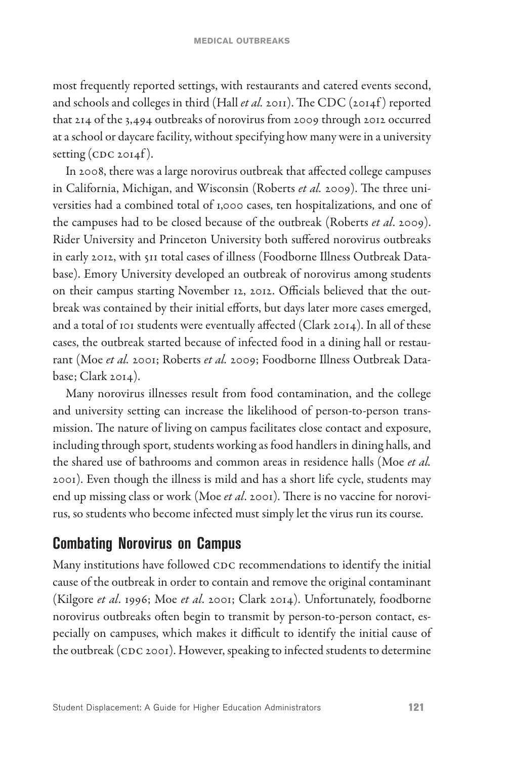most frequently reported settings, with restaurants and catered events second, and schools and colleges in third (Hall *et al.* 2011). The CDC (2014f) reported that 214 of the 3,494 outbreaks of norovirus from 2009 through 2012 occurred at a school or daycare facility, without specifying how many were in a university setting  $(CDC 2014f)$ .

In 2008, there was a large norovirus outbreak that affected college campuses in California, Michigan, and Wisconsin (Roberts *et al.* 2009). The three universities had a combined total of 1,000 cases, ten hospitalizations, and one of the campuses had to be closed because of the outbreak (Roberts *et al*. 2009). Rider University and Princeton University both suffered norovirus outbreaks in early 2012, with 511 total cases of illness (Foodborne Illness Outbreak Database). Emory University developed an outbreak of norovirus among students on their campus starting November 12, 2012. Officials believed that the outbreak was contained by their initial efforts, but days later more cases emerged, and a total of 101 students were eventually affected (Clark 2014). In all of these cases, the outbreak started because of infected food in a dining hall or restaurant (Moe *et al.* 2001; Roberts *et al.* 2009; Foodborne Illness Outbreak Database; Clark 2014).

Many norovirus illnesses result from food contamination, and the college and university setting can increase the likelihood of person-to-person transmission. The nature of living on campus facilitates close contact and exposure, including through sport, students working as food handlers in dining halls, and the shared use of bathrooms and common areas in residence halls (Moe *et al.* 2001). Even though the illness is mild and has a short life cycle, students may end up missing class or work (Moe *et al*. 2001). There is no vaccine for norovirus, so students who become infected must simply let the virus run its course.

## **Combating Norovirus on Campus**

Many institutions have followed CDC recommendations to identify the initial cause of the outbreak in order to contain and remove the original contaminant (Kilgore *et al*. 1996; Moe *et al*. 2001; Clark 2014). Unfortunately, foodborne norovirus outbreaks often begin to transmit by person-to-person contact, especially on campuses, which makes it difficult to identify the initial cause of the outbreak (CDC 2001). However, speaking to infected students to determine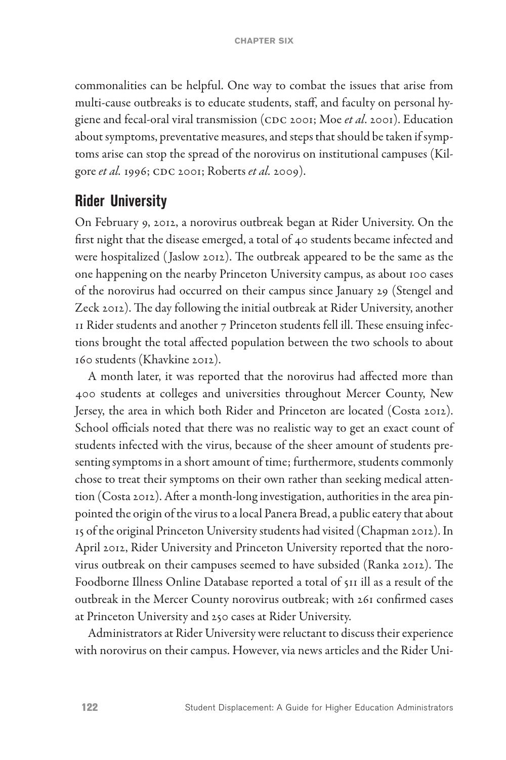commonalities can be helpful. One way to combat the issues that arise from multi-cause outbreaks is to educate students, staff, and faculty on personal hygiene and fecal-oral viral transmission (CDC 2001; Moe *et al*. 2001). Education about symptoms, preventative measures, and steps that should be taken if symptoms arise can stop the spread of the norovirus on institutional campuses (Kilgore *et al.* 1996; CDC 2001; Roberts *et al.* 2009).

#### **Rider University**

On February 9, 2012, a norovirus outbreak began at Rider University. On the first night that the disease emerged, a total of 40 students became infected and were hospitalized ( Jaslow 2012). The outbreak appeared to be the same as the one happening on the nearby Princeton University campus, as about 100 cases of the norovirus had occurred on their campus since January 29 (Stengel and Zeck 2012). The day following the initial outbreak at Rider University, another 11 Rider students and another 7 Princeton students fell ill. These ensuing infections brought the total affected population between the two schools to about 160 students (Khavkine 2012).

A month later, it was reported that the norovirus had affected more than 400 students at colleges and universities throughout Mercer County, New Jersey, the area in which both Rider and Princeton are located (Costa 2012). School officials noted that there was no realistic way to get an exact count of students infected with the virus, because of the sheer amount of students presenting symptoms in a short amount of time; furthermore, students commonly chose to treat their symptoms on their own rather than seeking medical attention (Costa 2012). After a month-long investigation, authorities in the area pinpointed the origin of the virus to a local Panera Bread, a public eatery that about 15 of the original Princeton University students had visited (Chapman 2012). In April 2012, Rider University and Princeton University reported that the norovirus outbreak on their campuses seemed to have subsided (Ranka 2012). The Foodborne Illness Online Database reported a total of 511 ill as a result of the outbreak in the Mercer County norovirus outbreak; with 261 confirmed cases at Princeton University and 250 cases at Rider University.

Administrators at Rider University were reluctant to discuss their experience with norovirus on their campus. However, via news articles and the Rider Uni-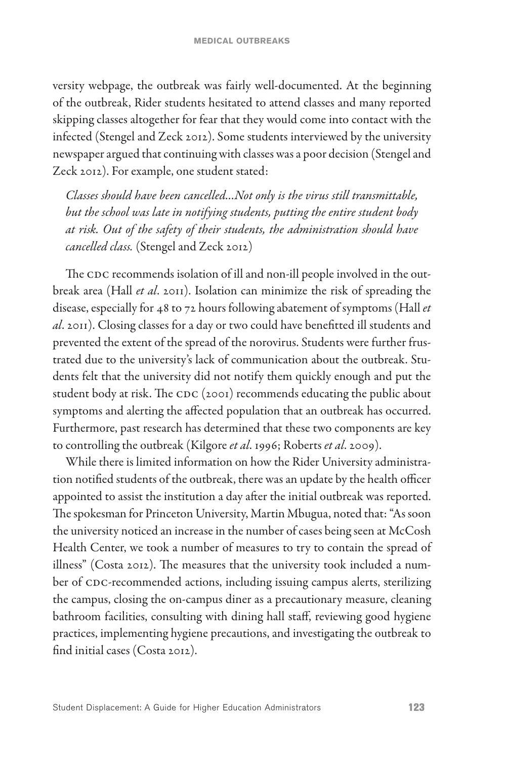versity webpage, the outbreak was fairly well-documented. At the beginning of the outbreak, Rider students hesitated to attend classes and many reported skipping classes altogether for fear that they would come into contact with the infected (Stengel and Zeck 2012). Some students interviewed by the university newspaper argued that continuing with classes was a poor decision (Stengel and Zeck 2012). For example, one student stated:

*Classes should have been cancelled…Not only is the virus still transmittable, but the school was late in notifying students, putting the entire student body at risk. Out of the safety of their students, the administration should have cancelled class.* (Stengel and Zeck 2012)

The CDC recommends isolation of ill and non-ill people involved in the outbreak area (Hall *et al*. 2011). Isolation can minimize the risk of spreading the disease, especially for 48 to 72 hours following abatement of symptoms (Hall *et al*. 2011). Closing classes for a day or two could have benefitted ill students and prevented the extent of the spread of the norovirus. Students were further frustrated due to the university's lack of communication about the outbreak. Students felt that the university did not notify them quickly enough and put the student body at risk. The CDC (2001) recommends educating the public about symptoms and alerting the affected population that an outbreak has occurred. Furthermore, past research has determined that these two components are key to controlling the outbreak (Kilgore *et al*. 1996; Roberts *et al*. 2009).

While there is limited information on how the Rider University administration notified students of the outbreak, there was an update by the health officer appointed to assist the institution a day after the initial outbreak was reported. The spokesman for Princeton University, Martin Mbugua, noted that: "As soon the university noticed an increase in the number of cases being seen at McCosh Health Center, we took a number of measures to try to contain the spread of illness" (Costa 2012). The measures that the university took included a number of CDC-recommended actions, including issuing campus alerts, sterilizing the campus, closing the on-campus diner as a precautionary measure, cleaning bathroom facilities, consulting with dining hall staff, reviewing good hygiene practices, implementing hygiene precautions, and investigating the outbreak to find initial cases (Costa 2012).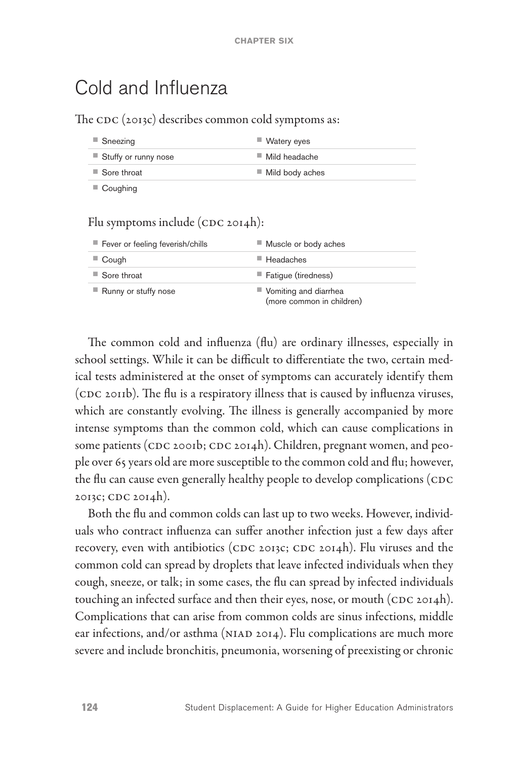## Cold and Influenza

The CDC (2013c) describes common cold symptoms as:

| ■ Sneezing              | $\blacksquare$ Watery eyes     |
|-------------------------|--------------------------------|
| ■ Stuffy or runny nose  | $\blacksquare$ Mild headache   |
| ■ Sore throat           | $\blacksquare$ Mild body aches |
| $\blacksquare$ Coughing |                                |

#### Flu symptoms include (CDC 2014h):

| Fever or feeling feverish/chills | ■ Muscle or body aches                               |
|----------------------------------|------------------------------------------------------|
| $\blacksquare$ Cough             | $\blacksquare$ Headaches                             |
| $\blacksquare$ Sore throat       | Fatigue (tiredness)                                  |
| ■ Runny or stuffy nose           | ■ Vomiting and diarrhea<br>(more common in children) |

The common cold and influenza (flu) are ordinary illnesses, especially in school settings. While it can be difficult to differentiate the two, certain medical tests administered at the onset of symptoms can accurately identify them (CDC 2011b). The flu is a respiratory illness that is caused by influenza viruses, which are constantly evolving. The illness is generally accompanied by more intense symptoms than the common cold, which can cause complications in some patients (CDC 2001b; CDC 2014h). Children, pregnant women, and people over 65 years old are more susceptible to the common cold and flu; however, the flu can cause even generally healthy people to develop complications (CDC 2013c; CDC 2014h).

Both the flu and common colds can last up to two weeks. However, individuals who contract influenza can suffer another infection just a few days after recovery, even with antibiotics (CDC 2013c; CDC 2014h). Flu viruses and the common cold can spread by droplets that leave infected individuals when they cough, sneeze, or talk; in some cases, the flu can spread by infected individuals touching an infected surface and then their eyes, nose, or mouth (CDC 2014h). Complications that can arise from common colds are sinus infections, middle ear infections, and/or asthma (NIAD 2014). Flu complications are much more severe and include bronchitis, pneumonia, worsening of preexisting or chronic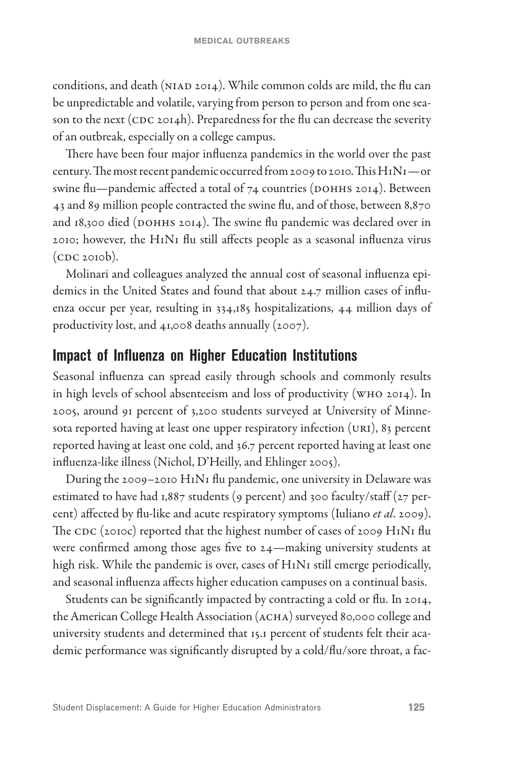conditions, and death (NIAD 2014). While common colds are mild, the flu can be unpredictable and volatile, varying from person to person and from one season to the next (CDC 2014h). Preparedness for the flu can decrease the severity of an outbreak, especially on a college campus.

There have been four major influenza pandemics in the world over the past century. The most recent pandemic occurred from 2009 to 2010. This H1N1—or swine flu—pandemic affected a total of 74 countries (DOHHS 2014). Between 43 and 89 million people contracted the swine flu, and of those, between 8,870 and 18,300 died (DOHHS 2014). The swine flu pandemic was declared over in 2010; however, the H1N1 flu still affects people as a seasonal influenza virus (CDC 2010b).

Molinari and colleagues analyzed the annual cost of seasonal influenza epidemics in the United States and found that about 24.7 million cases of influenza occur per year, resulting in 334,185 hospitalizations, 44 million days of productivity lost, and 41,008 deaths annually (2007).

#### **Impact of Influenza on Higher Education Institutions**

Seasonal influenza can spread easily through schools and commonly results in high levels of school absenteeism and loss of productivity (WHO 2014). In 2005, around 91 percent of 3,200 students surveyed at University of Minnesota reported having at least one upper respiratory infection (URI), 83 percent reported having at least one cold, and 36.7 percent reported having at least one influenza-like illness (Nichol, D'Heilly, and Ehlinger 2005).

During the 2009–2010 H1N1 flu pandemic, one university in Delaware was estimated to have had 1,887 students (9 percent) and 300 faculty/staff (27 percent) affected by flu-like and acute respiratory symptoms (Iuliano *et al*. 2009). The CDC (2010c) reported that the highest number of cases of 2009 H1N1 flu were confirmed among those ages five to 24—making university students at high risk. While the pandemic is over, cases of H1N1 still emerge periodically, and seasonal influenza affects higher education campuses on a continual basis.

Students can be significantly impacted by contracting a cold or flu. In 2014, the American College Health Association (ACHA) surveyed 80,000 college and university students and determined that 15.1 percent of students felt their academic performance was significantly disrupted by a cold/flu/sore throat, a fac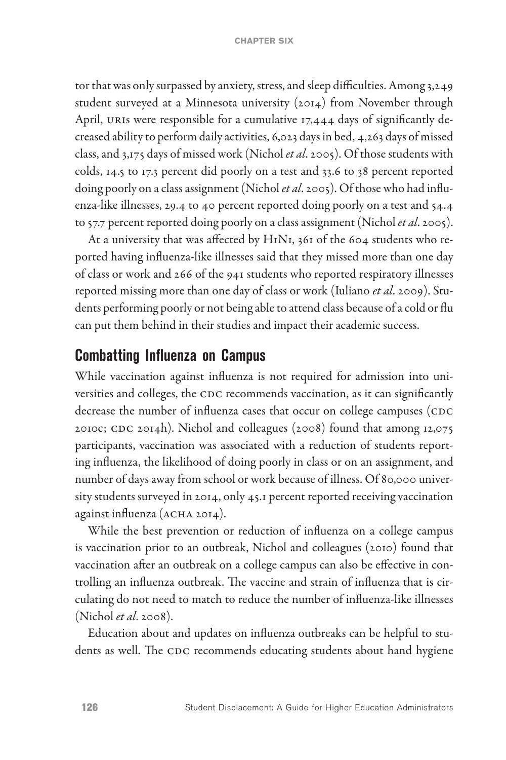tor that was only surpassed by anxiety, stress, and sleep difficulties. Among 3,249 student surveyed at a Minnesota university (2014) from November through April, URIs were responsible for a cumulative 17,444 days of significantly decreased ability to perform daily activities, 6,023 days in bed, 4,263 days of missed class, and 3,175 days of missed work (Nichol *et al*. 2005). Of those students with colds, 14.5 to 17.3 percent did poorly on a test and 33.6 to 38 percent reported doing poorly on a class assignment (Nichol *et al*. 2005). Of those who had influenza-like illnesses, 29.4 to 40 percent reported doing poorly on a test and 54.4 to 57.7 percent reported doing poorly on a class assignment (Nichol *et al*. 2005).

At a university that was affected by H1N1, 361 of the 604 students who reported having influenza-like illnesses said that they missed more than one day of class or work and 266 of the 941 students who reported respiratory illnesses reported missing more than one day of class or work (Iuliano *et al*. 2009). Students performing poorly or not being able to attend class because of a cold or flu can put them behind in their studies and impact their academic success.

#### **Combatting Influenza on Campus**

While vaccination against influenza is not required for admission into universities and colleges, the CDC recommends vaccination, as it can significantly decrease the number of influenza cases that occur on college campuses (CDC 2010c; CDC 2014h). Nichol and colleagues (2008) found that among 12,075 participants, vaccination was associated with a reduction of students reporting influenza, the likelihood of doing poorly in class or on an assignment, and number of days away from school or work because of illness. Of 80,000 university students surveyed in 2014, only 45.1 percent reported receiving vaccination against influenza (ACHA 2014).

While the best prevention or reduction of influenza on a college campus is vaccination prior to an outbreak, Nichol and colleagues (2010) found that vaccination after an outbreak on a college campus can also be effective in controlling an influenza outbreak. The vaccine and strain of influenza that is circulating do not need to match to reduce the number of influenza-like illnesses (Nichol *et al*. 2008).

Education about and updates on influenza outbreaks can be helpful to students as well. The CDC recommends educating students about hand hygiene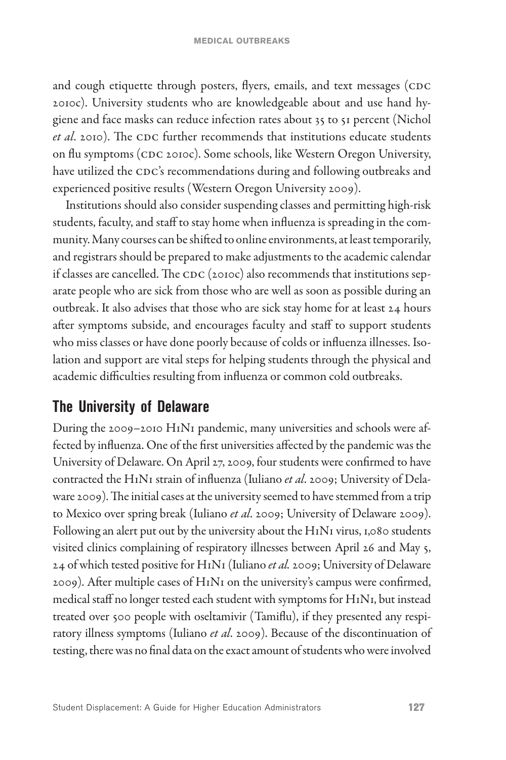and cough etiquette through posters, flyers, emails, and text messages (CDC 2010c). University students who are knowledgeable about and use hand hygiene and face masks can reduce infection rates about 35 to 51 percent (Nichol *et al*. 2010). The CDC further recommends that institutions educate students on flu symptoms (CDC 2010c). Some schools, like Western Oregon University, have utilized the CDC's recommendations during and following outbreaks and experienced positive results (Western Oregon University 2009).

Institutions should also consider suspending classes and permitting high-risk students, faculty, and staff to stay home when influenza is spreading in the community. Many courses can be shifted to online environments, at least temporarily, and registrars should be prepared to make adjustments to the academic calendar if classes are cancelled. The CDC (2010c) also recommends that institutions separate people who are sick from those who are well as soon as possible during an outbreak. It also advises that those who are sick stay home for at least 24 hours after symptoms subside, and encourages faculty and staff to support students who miss classes or have done poorly because of colds or influenza illnesses. Isolation and support are vital steps for helping students through the physical and academic difficulties resulting from influenza or common cold outbreaks.

## **The University of Delaware**

During the 2009–2010 H1N1 pandemic, many universities and schools were affected by influenza. One of the first universities affected by the pandemic was the University of Delaware. On April 27, 2009, four students were confirmed to have contracted the H1N1 strain of influenza (Iuliano *et al*. 2009; University of Delaware 2009). The initial cases at the university seemed to have stemmed from a trip to Mexico over spring break (Iuliano *et al*. 2009; University of Delaware 2009). Following an alert put out by the university about the H1N1 virus, 1,080 students visited clinics complaining of respiratory illnesses between April 26 and May 5, 24 of which tested positive for H1N1 (Iuliano *et al.* 2009; University of Delaware 2009). After multiple cases of H1N1 on the university's campus were confirmed, medical staff no longer tested each student with symptoms for H1N1, but instead treated over 500 people with oseltamivir (Tamiflu), if they presented any respiratory illness symptoms (Iuliano *et al*. 2009). Because of the discontinuation of testing, there was no final data on the exact amount of students who were involved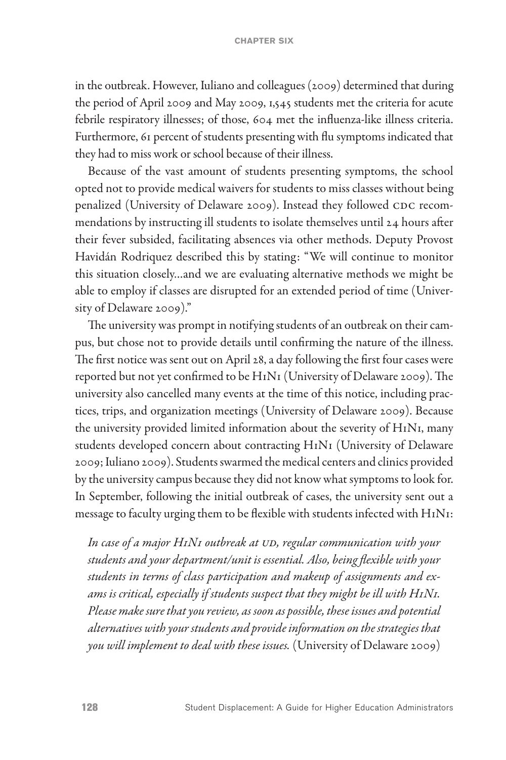in the outbreak. However, Iuliano and colleagues (2009) determined that during the period of April 2009 and May 2009, 1,545 students met the criteria for acute febrile respiratory illnesses; of those, 604 met the influenza-like illness criteria. Furthermore, 61 percent of students presenting with flu symptoms indicated that they had to miss work or school because of their illness.

Because of the vast amount of students presenting symptoms, the school opted not to provide medical waivers for students to miss classes without being penalized (University of Delaware 2009). Instead they followed CDC recommendations by instructing ill students to isolate themselves until 24 hours after their fever subsided, facilitating absences via other methods. Deputy Provost Havidán Rodriquez described this by stating: "We will continue to monitor this situation closely…and we are evaluating alternative methods we might be able to employ if classes are disrupted for an extended period of time (University of Delaware 2009)."

The university was prompt in notifying students of an outbreak on their campus, but chose not to provide details until confirming the nature of the illness. The first notice was sent out on April 28, a day following the first four cases were reported but not yet confirmed to be H1N1 (University of Delaware 2009). The university also cancelled many events at the time of this notice, including practices, trips, and organization meetings (University of Delaware 2009). Because the university provided limited information about the severity of H1N1, many students developed concern about contracting H1N1 (University of Delaware 2009; Iuliano 2009). Students swarmed the medical centers and clinics provided by the university campus because they did not know what symptoms to look for. In September, following the initial outbreak of cases, the university sent out a message to faculty urging them to be flexible with students infected with H1N1:

*In case of a major H1N1 outbreak at UD, regular communication with your students and your department/unit is essential. Also, being flexible with your students in terms of class participation and makeup of assignments and exams is critical, especially if students suspect that they might be ill with H1N1. Please make sure that you review, as soon as possible, these issues and potential alternatives with your students and provide information on the strategies that you will implement to deal with these issues.* (University of Delaware 2009)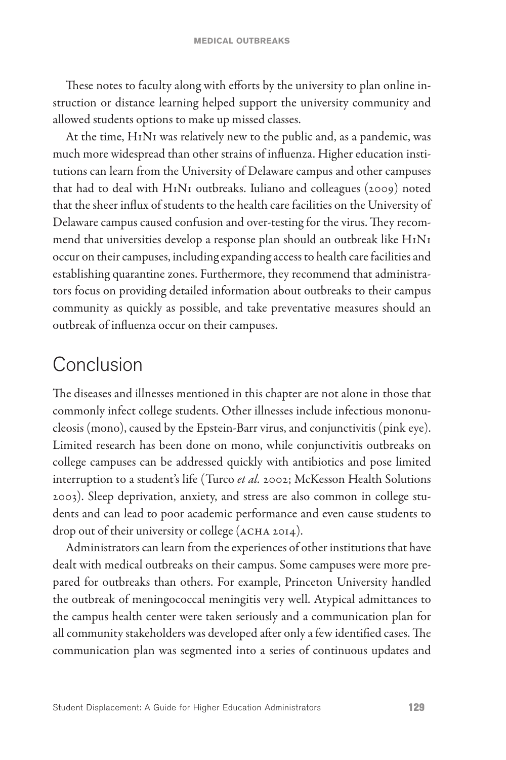These notes to faculty along with efforts by the university to plan online instruction or distance learning helped support the university community and allowed students options to make up missed classes.

At the time, H1N1 was relatively new to the public and, as a pandemic, was much more widespread than other strains of influenza. Higher education institutions can learn from the University of Delaware campus and other campuses that had to deal with H1N1 outbreaks. Iuliano and colleagues (2009) noted that the sheer influx of students to the health care facilities on the University of Delaware campus caused confusion and over-testing for the virus. They recommend that universities develop a response plan should an outbreak like H1N1 occur on their campuses, including expanding access to health care facilities and establishing quarantine zones. Furthermore, they recommend that administrators focus on providing detailed information about outbreaks to their campus community as quickly as possible, and take preventative measures should an outbreak of influenza occur on their campuses.

# Conclusion

The diseases and illnesses mentioned in this chapter are not alone in those that commonly infect college students. Other illnesses include infectious mononucleosis (mono), caused by the Epstein-Barr virus, and conjunctivitis (pink eye). Limited research has been done on mono, while conjunctivitis outbreaks on college campuses can be addressed quickly with antibiotics and pose limited interruption to a student's life (Turco *et al.* 2002; McKesson Health Solutions 2003). Sleep deprivation, anxiety, and stress are also common in college students and can lead to poor academic performance and even cause students to drop out of their university or college (ACHA 2014).

Administrators can learn from the experiences of other institutions that have dealt with medical outbreaks on their campus. Some campuses were more prepared for outbreaks than others. For example, Princeton University handled the outbreak of meningococcal meningitis very well. Atypical admittances to the campus health center were taken seriously and a communication plan for all community stakeholders was developed after only a few identified cases. The communication plan was segmented into a series of continuous updates and